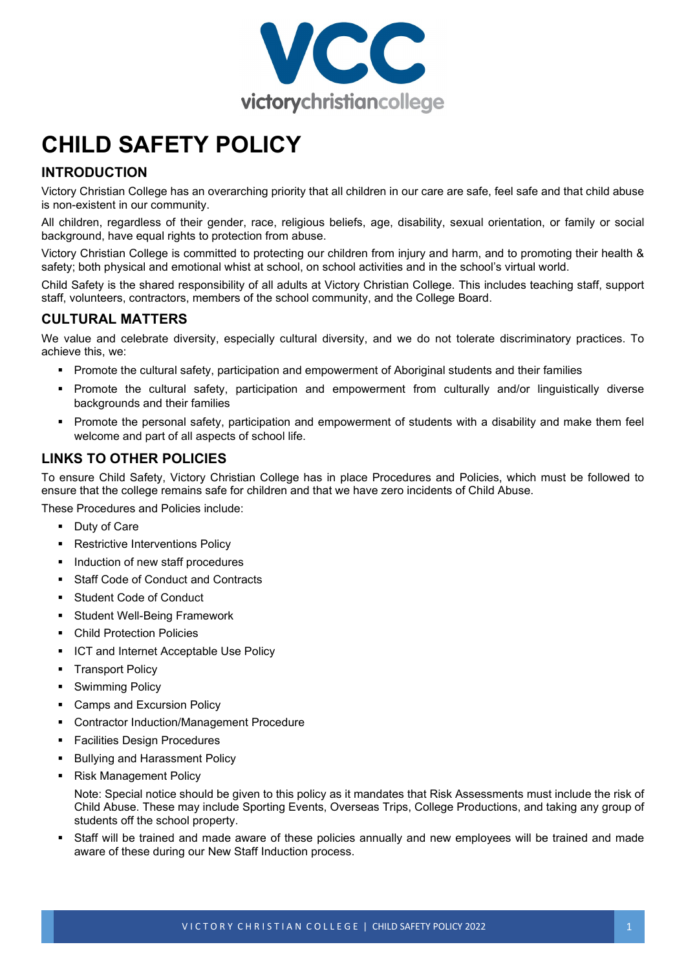

# **CHILD SAFETY POLICY**

## **INTRODUCTION**

Victory Christian College has an overarching priority that all children in our care are safe, feel safe and that child abuse is non-existent in our community.

All children, regardless of their gender, race, religious beliefs, age, disability, sexual orientation, or family or social background, have equal rights to protection from abuse.

Victory Christian College is committed to protecting our children from injury and harm, and to promoting their health & safety; both physical and emotional whist at school, on school activities and in the school's virtual world.

Child Safety is the shared responsibility of all adults at Victory Christian College. This includes teaching staff, support staff, volunteers, contractors, members of the school community, and the College Board.

### **CULTURAL MATTERS**

We value and celebrate diversity, especially cultural diversity, and we do not tolerate discriminatory practices. To achieve this, we:

- **Promote the cultural safety, participation and empowerment of Aboriginal students and their families**
- Promote the cultural safety, participation and empowerment from culturally and/or linguistically diverse backgrounds and their families
- Promote the personal safety, participation and empowerment of students with a disability and make them feel welcome and part of all aspects of school life.

## **LINKS TO OTHER POLICIES**

To ensure Child Safety, Victory Christian College has in place Procedures and Policies, which must be followed to ensure that the college remains safe for children and that we have zero incidents of Child Abuse.

These Procedures and Policies include:

- Duty of Care
- **Restrictive Interventions Policy**
- Induction of new staff procedures
- Staff Code of Conduct and Contracts
- Student Code of Conduct
- **Student Well-Being Framework**
- Child Protection Policies
- ICT and Internet Acceptable Use Policy
- Transport Policy
- **-** Swimming Policy
- Camps and Excursion Policy
- Contractor Induction/Management Procedure
- Facilities Design Procedures
- **Bullying and Harassment Policy**
- Risk Management Policy

Note: Special notice should be given to this policy as it mandates that Risk Assessments must include the risk of Child Abuse. These may include Sporting Events, Overseas Trips, College Productions, and taking any group of students off the school property.

 Staff will be trained and made aware of these policies annually and new employees will be trained and made aware of these during our New Staff Induction process.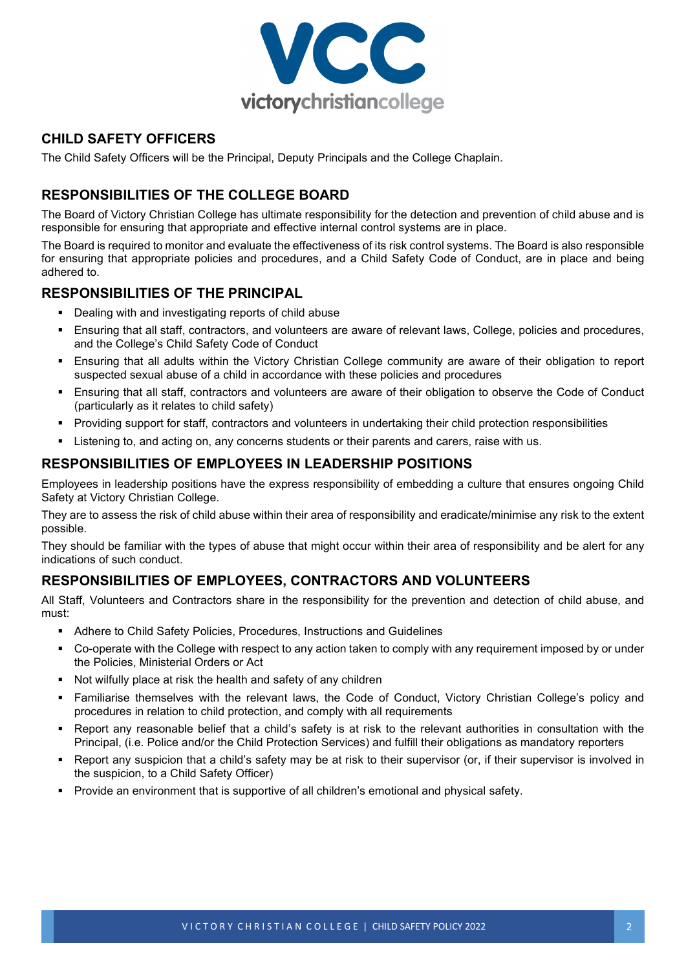

## **CHILD SAFETY OFFICERS**

The Child Safety Officers will be the Principal, Deputy Principals and the College Chaplain.

# **RESPONSIBILITIES OF THE COLLEGE BOARD**

The Board of Victory Christian College has ultimate responsibility for the detection and prevention of child abuse and is responsible for ensuring that appropriate and effective internal control systems are in place.

The Board is required to monitor and evaluate the effectiveness of its risk control systems. The Board is also responsible for ensuring that appropriate policies and procedures, and a Child Safety Code of Conduct, are in place and being adhered to.

### **RESPONSIBILITIES OF THE PRINCIPAL**

- Dealing with and investigating reports of child abuse
- Ensuring that all staff, contractors, and volunteers are aware of relevant laws, College, policies and procedures, and the College's Child Safety Code of Conduct
- Ensuring that all adults within the Victory Christian College community are aware of their obligation to report suspected sexual abuse of a child in accordance with these policies and procedures
- Ensuring that all staff, contractors and volunteers are aware of their obligation to observe the Code of Conduct (particularly as it relates to child safety)
- Providing support for staff, contractors and volunteers in undertaking their child protection responsibilities
- Listening to, and acting on, any concerns students or their parents and carers, raise with us.

### **RESPONSIBILITIES OF EMPLOYEES IN LEADERSHIP POSITIONS**

Employees in leadership positions have the express responsibility of embedding a culture that ensures ongoing Child Safety at Victory Christian College.

They are to assess the risk of child abuse within their area of responsibility and eradicate/minimise any risk to the extent possible.

They should be familiar with the types of abuse that might occur within their area of responsibility and be alert for any indications of such conduct.

## **RESPONSIBILITIES OF EMPLOYEES, CONTRACTORS AND VOLUNTEERS**

All Staff, Volunteers and Contractors share in the responsibility for the prevention and detection of child abuse, and must:

- Adhere to Child Safety Policies, Procedures, Instructions and Guidelines
- Co-operate with the College with respect to any action taken to comply with any requirement imposed by or under the Policies, Ministerial Orders or Act
- Not wilfully place at risk the health and safety of any children
- Familiarise themselves with the relevant laws, the Code of Conduct, Victory Christian College's policy and procedures in relation to child protection, and comply with all requirements
- Report any reasonable belief that a child's safety is at risk to the relevant authorities in consultation with the Principal, (i.e. Police and/or the Child Protection Services) and fulfill their obligations as mandatory reporters
- Report any suspicion that a child's safety may be at risk to their supervisor (or, if their supervisor is involved in the suspicion, to a Child Safety Officer)
- Provide an environment that is supportive of all children's emotional and physical safety.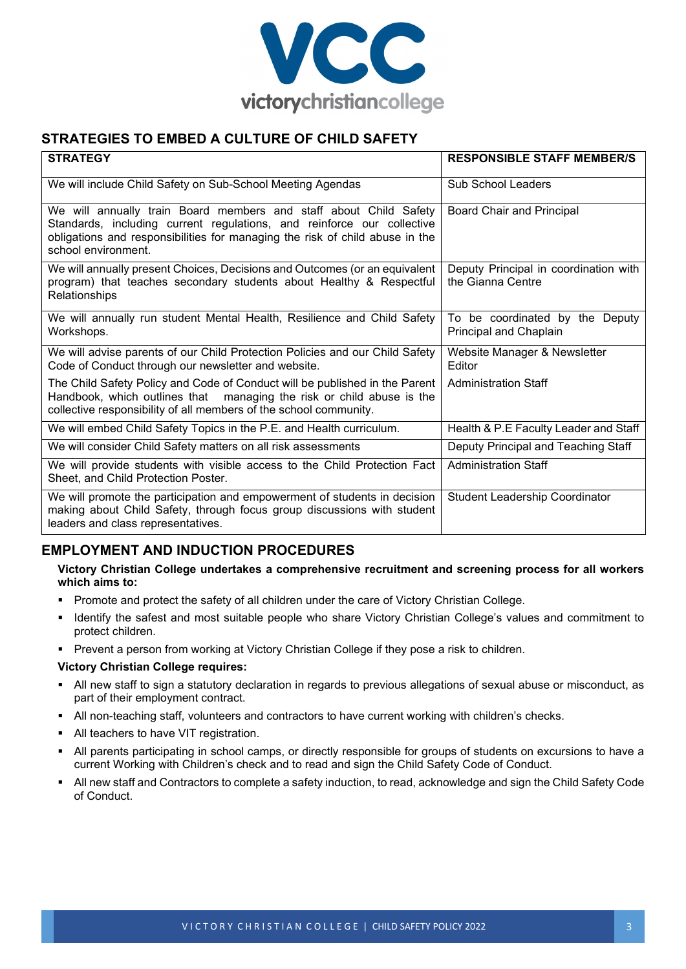

# **STRATEGIES TO EMBED A CULTURE OF CHILD SAFETY**

| <b>STRATEGY</b>                                                                                                                                                                                                                                    | <b>RESPONSIBLE STAFF MEMBER/S</b>                          |
|----------------------------------------------------------------------------------------------------------------------------------------------------------------------------------------------------------------------------------------------------|------------------------------------------------------------|
| We will include Child Safety on Sub-School Meeting Agendas                                                                                                                                                                                         | Sub School Leaders                                         |
| We will annually train Board members and staff about Child Safety<br>Standards, including current regulations, and reinforce our collective<br>obligations and responsibilities for managing the risk of child abuse in the<br>school environment. | Board Chair and Principal                                  |
| We will annually present Choices, Decisions and Outcomes (or an equivalent<br>program) that teaches secondary students about Healthy & Respectful<br>Relationships                                                                                 | Deputy Principal in coordination with<br>the Gianna Centre |
| We will annually run student Mental Health, Resilience and Child Safety<br>Workshops.                                                                                                                                                              | To be coordinated by the Deputy<br>Principal and Chaplain  |
| We will advise parents of our Child Protection Policies and our Child Safety<br>Code of Conduct through our newsletter and website.                                                                                                                | Website Manager & Newsletter<br>Editor                     |
| The Child Safety Policy and Code of Conduct will be published in the Parent<br>Handbook, which outlines that managing the risk or child abuse is the<br>collective responsibility of all members of the school community.                          | <b>Administration Staff</b>                                |
| We will embed Child Safety Topics in the P.E. and Health curriculum.                                                                                                                                                                               | Health & P.E Faculty Leader and Staff                      |
| We will consider Child Safety matters on all risk assessments                                                                                                                                                                                      | Deputy Principal and Teaching Staff                        |
| We will provide students with visible access to the Child Protection Fact<br>Sheet, and Child Protection Poster.                                                                                                                                   | <b>Administration Staff</b>                                |
| We will promote the participation and empowerment of students in decision<br>making about Child Safety, through focus group discussions with student<br>leaders and class representatives.                                                         | <b>Student Leadership Coordinator</b>                      |

# **EMPLOYMENT AND INDUCTION PROCEDURES**

#### **Victory Christian College undertakes a comprehensive recruitment and screening process for all workers which aims to:**

- **Promote and protect the safety of all children under the care of Victory Christian College.**
- Identify the safest and most suitable people who share Victory Christian College's values and commitment to protect children.
- **Prevent a person from working at Victory Christian College if they pose a risk to children.**

#### **Victory Christian College requires:**

- All new staff to sign a statutory declaration in regards to previous allegations of sexual abuse or misconduct, as part of their employment contract.
- All non-teaching staff, volunteers and contractors to have current working with children's checks.
- All teachers to have VIT registration.
- All parents participating in school camps, or directly responsible for groups of students on excursions to have a current Working with Children's check and to read and sign the Child Safety Code of Conduct.
- All new staff and Contractors to complete a safety induction, to read, acknowledge and sign the Child Safety Code of Conduct.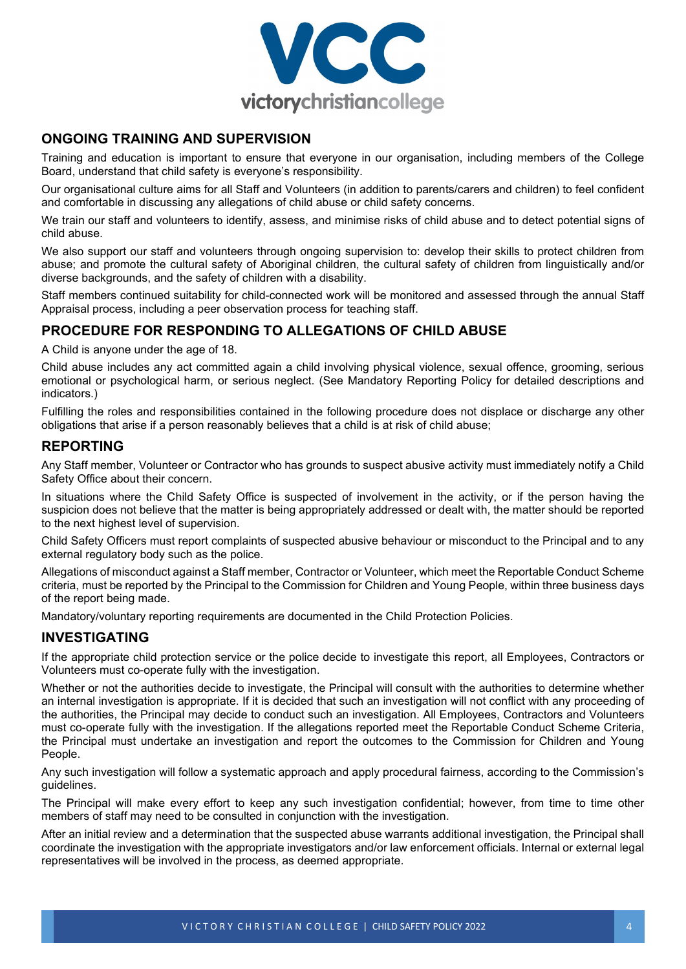

## **ONGOING TRAINING AND SUPERVISION**

Training and education is important to ensure that everyone in our organisation, including members of the College Board, understand that child safety is everyone's responsibility.

Our organisational culture aims for all Staff and Volunteers (in addition to parents/carers and children) to feel confident and comfortable in discussing any allegations of child abuse or child safety concerns.

We train our staff and volunteers to identify, assess, and minimise risks of child abuse and to detect potential signs of child abuse.

We also support our staff and volunteers through ongoing supervision to: develop their skills to protect children from abuse; and promote the cultural safety of Aboriginal children, the cultural safety of children from linguistically and/or diverse backgrounds, and the safety of children with a disability.

Staff members continued suitability for child-connected work will be monitored and assessed through the annual Staff Appraisal process, including a peer observation process for teaching staff.

# **PROCEDURE FOR RESPONDING TO ALLEGATIONS OF CHILD ABUSE**

A Child is anyone under the age of 18.

Child abuse includes any act committed again a child involving physical violence, sexual offence, grooming, serious emotional or psychological harm, or serious neglect. (See Mandatory Reporting Policy for detailed descriptions and indicators.)

Fulfilling the roles and responsibilities contained in the following procedure does not displace or discharge any other obligations that arise if a person reasonably believes that a child is at risk of child abuse;

### **REPORTING**

Any Staff member, Volunteer or Contractor who has grounds to suspect abusive activity must immediately notify a Child Safety Office about their concern.

In situations where the Child Safety Office is suspected of involvement in the activity, or if the person having the suspicion does not believe that the matter is being appropriately addressed or dealt with, the matter should be reported to the next highest level of supervision.

Child Safety Officers must report complaints of suspected abusive behaviour or misconduct to the Principal and to any external regulatory body such as the police.

Allegations of misconduct against a Staff member, Contractor or Volunteer, which meet the Reportable Conduct Scheme criteria, must be reported by the Principal to the Commission for Children and Young People, within three business days of the report being made.

Mandatory/voluntary reporting requirements are documented in the Child Protection Policies.

#### **INVESTIGATING**

If the appropriate child protection service or the police decide to investigate this report, all Employees, Contractors or Volunteers must co-operate fully with the investigation.

Whether or not the authorities decide to investigate, the Principal will consult with the authorities to determine whether an internal investigation is appropriate. If it is decided that such an investigation will not conflict with any proceeding of the authorities, the Principal may decide to conduct such an investigation. All Employees, Contractors and Volunteers must co-operate fully with the investigation. If the allegations reported meet the Reportable Conduct Scheme Criteria, the Principal must undertake an investigation and report the outcomes to the Commission for Children and Young People.

Any such investigation will follow a systematic approach and apply procedural fairness, according to the Commission's guidelines.

The Principal will make every effort to keep any such investigation confidential; however, from time to time other members of staff may need to be consulted in conjunction with the investigation.

After an initial review and a determination that the suspected abuse warrants additional investigation, the Principal shall coordinate the investigation with the appropriate investigators and/or law enforcement officials. Internal or external legal representatives will be involved in the process, as deemed appropriate.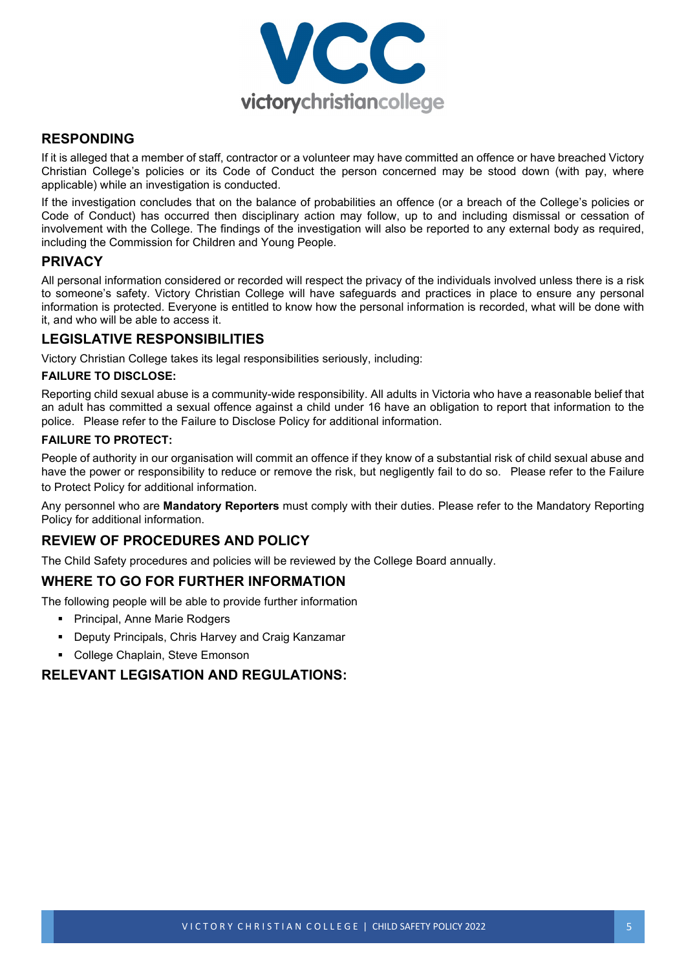

## **RESPONDING**

If it is alleged that a member of staff, contractor or a volunteer may have committed an offence or have breached Victory Christian College's policies or its Code of Conduct the person concerned may be stood down (with pay, where applicable) while an investigation is conducted.

If the investigation concludes that on the balance of probabilities an offence (or a breach of the College's policies or Code of Conduct) has occurred then disciplinary action may follow, up to and including dismissal or cessation of involvement with the College. The findings of the investigation will also be reported to any external body as required, including the Commission for Children and Young People.

# **PRIVACY**

All personal information considered or recorded will respect the privacy of the individuals involved unless there is a risk to someone's safety. Victory Christian College will have safeguards and practices in place to ensure any personal information is protected. Everyone is entitled to know how the personal information is recorded, what will be done with it, and who will be able to access it.

### **LEGISLATIVE RESPONSIBILITIES**

Victory Christian College takes its legal responsibilities seriously, including:

#### **FAILURE TO DISCLOSE:**

Reporting child sexual abuse is a community-wide responsibility. All adults in Victoria who have a reasonable belief that an adult has committed a sexual offence against a child under 16 have an obligation to report that information to the police. Please refer to the Failure to Disclose Policy for additional information.

#### **FAILURE TO PROTECT:**

People of authority in our organisation will commit an offence if they know of a substantial risk of child sexual abuse and have the power or responsibility to reduce or remove the risk, but negligently fail to do so. Please refer to the Failure to Protect Policy for additional information.

Any personnel who are **Mandatory Reporters** must comply with their duties. Please refer to the Mandatory Reporting Policy for additional information.

## **REVIEW OF PROCEDURES AND POLICY**

The Child Safety procedures and policies will be reviewed by the College Board annually.

#### **WHERE TO GO FOR FURTHER INFORMATION**

The following people will be able to provide further information

- Principal, Anne Marie Rodgers
- **Deputy Principals, Chris Harvey and Craig Kanzamar**
- College Chaplain, Steve Emonson

# **RELEVANT LEGISATION AND REGULATIONS:**